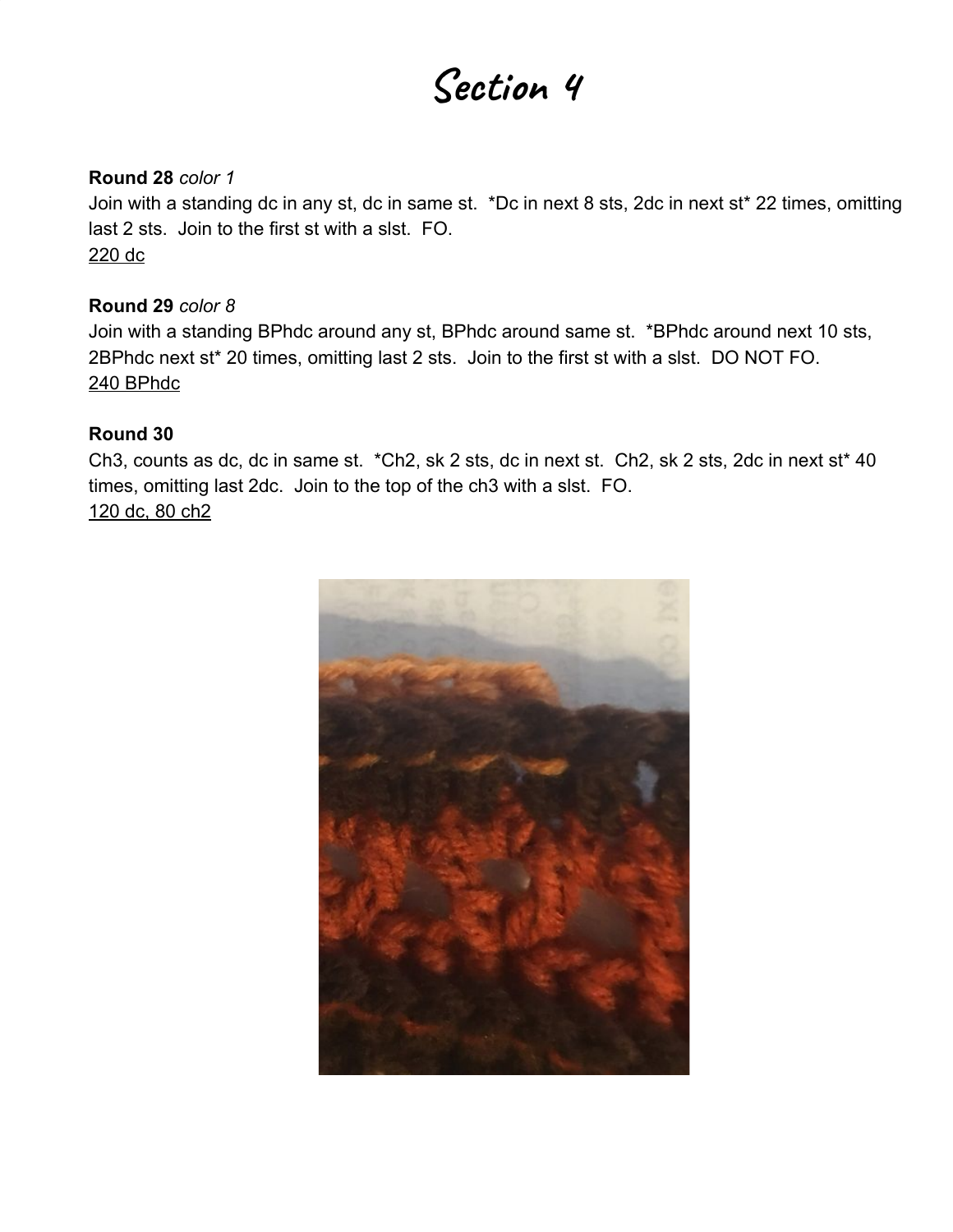# **Section 4**

#### **Round 28** *color 1*

Join with a standing dc in any st, dc in same st. \*Dc in next 8 sts, 2dc in next st\* 22 times, omitting last 2 sts. Join to the first st with a slst. FO. 220 dc

#### **Round 29** *color 8*

Join with a standing BPhdc around any st, BPhdc around same st. \*BPhdc around next 10 sts, 2BPhdc next st\* 20 times, omitting last 2 sts. Join to the first st with a slst. DO NOT FO. 240 BPhdc

#### **Round 30**

Ch3, counts as dc, dc in same st. \*Ch2, sk 2 sts, dc in next st. Ch2, sk 2 sts, 2dc in next st\* 40 times, omitting last 2dc. Join to the top of the ch3 with a slst. FO. 120 dc, 80 ch2

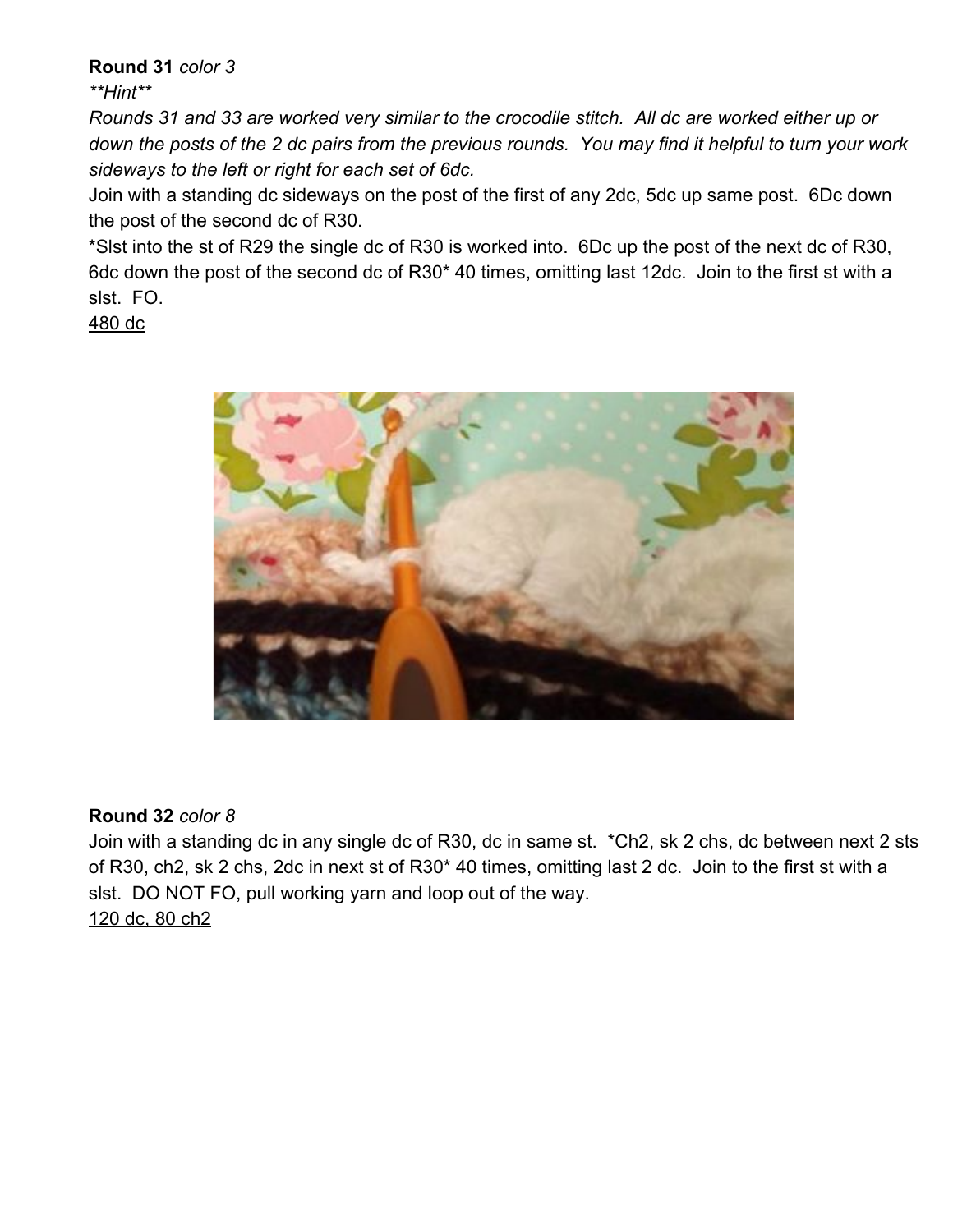**Round 31** *color 3*

*\*\*Hint\*\**

*Rounds 31 and 33 are worked very similar to the crocodile stitch. All dc are worked either up or down the posts of the 2 dc pairs from the previous rounds. You may find it helpful to turn your work sideways to the left or right for each set of 6dc.*

Join with a standing dc sideways on the post of the first of any 2dc, 5dc up same post. 6Dc down the post of the second dc of R30.

\*Slst into the st of R29 the single dc of R30 is worked into. 6Dc up the post of the next dc of R30, 6dc down the post of the second dc of R30\* 40 times, omitting last 12dc. Join to the first st with a slst. FO.

480 dc



## **Round 32** *color 8*

Join with a standing dc in any single dc of R30, dc in same st. \*Ch2, sk 2 chs, dc between next 2 sts of R30, ch2, sk 2 chs, 2dc in next st of R30\* 40 times, omitting last 2 dc. Join to the first st with a slst. DO NOT FO, pull working yarn and loop out of the way. 120 dc, 80 ch2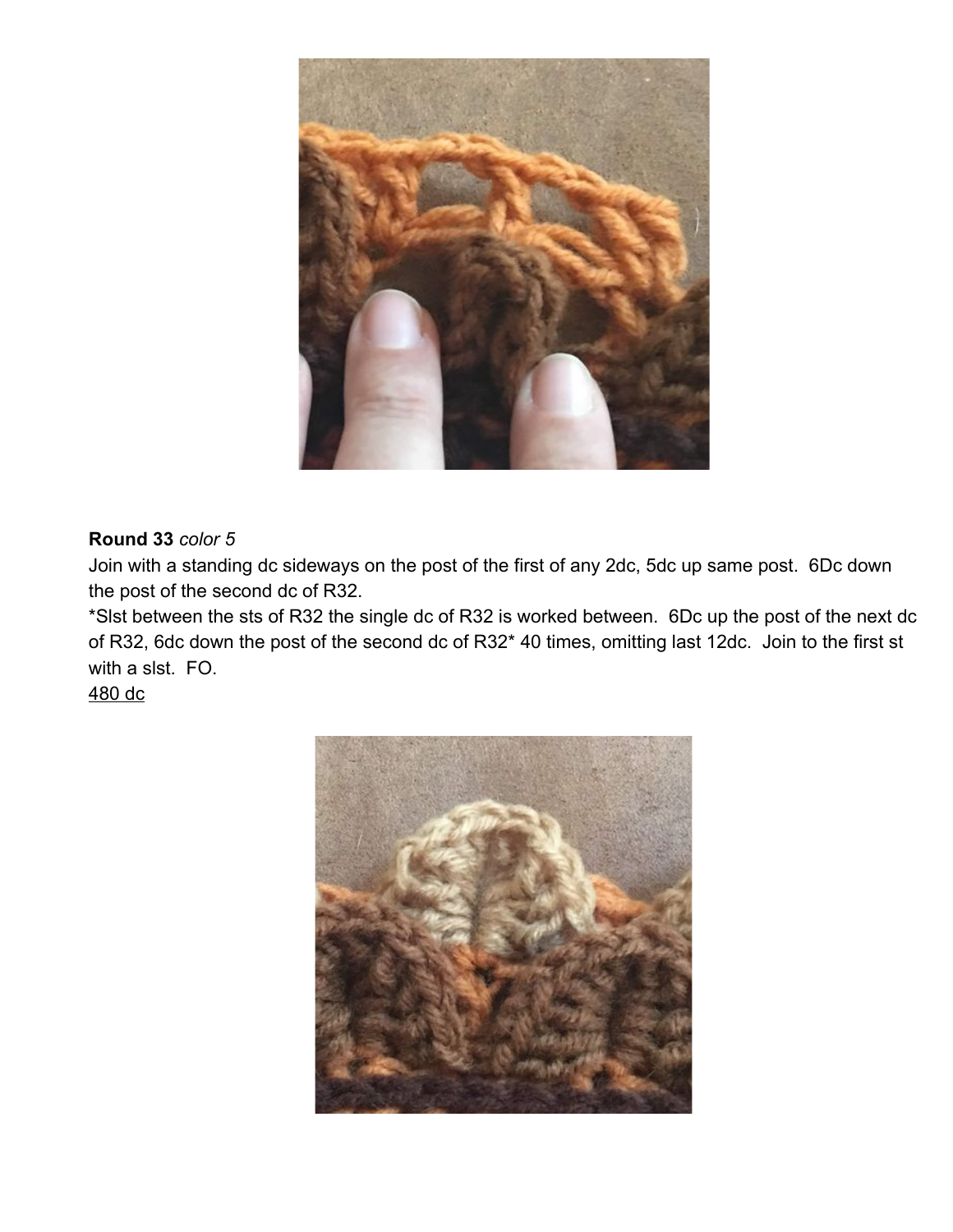

## **Round 33** *color 5*

Join with a standing dc sideways on the post of the first of any 2dc, 5dc up same post. 6Dc down the post of the second dc of R32.

\*Slst between the sts of R32 the single dc of R32 is worked between. 6Dc up the post of the next dc of R32, 6dc down the post of the second dc of R32\* 40 times, omitting last 12dc. Join to the first st with a slst. FO.

## 480 dc